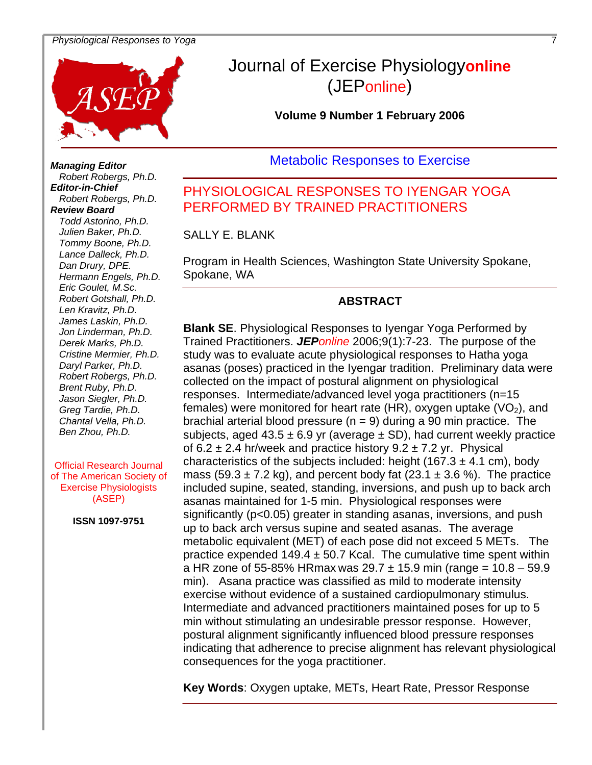#### *Physiological Responses to Yoga* 7



# Journal of Exercise Physiology**online** (JEPonline)

**Volume 9 Number 1 February 2006** 

**Metabolic Responses to Exercise** 

# PHYSIOLOGICAL RESPONSES TO IYENGAR YOGA PERFORMED BY TRAINED PRACTITIONERS

SALLY E. BLANK

Program in Health Sciences, Washington State University Spokane, Spokane, WA

#### **ABSTRACT**

**Blank SE**. Physiological Responses to Iyengar Yoga Performed by Trained Practitioners. *JEPonline* 2006;9(1):7-23. The purpose of the study was to evaluate acute physiological responses to Hatha yoga asanas (poses) practiced in the Iyengar tradition. Preliminary data were collected on the impact of postural alignment on physiological responses. Intermediate/advanced level yoga practitioners (n=15 females) were monitored for heart rate (HR), oxygen uptake ( $VO<sub>2</sub>$ ), and brachial arterial blood pressure  $(n = 9)$  during a 90 min practice. The subjects, aged  $43.5 \pm 6.9$  yr (average  $\pm$  SD), had current weekly practice of 6.2  $\pm$  2.4 hr/week and practice history 9.2  $\pm$  7.2 yr. Physical characteristics of the subjects included: height  $(167.3 \pm 4.1 \text{ cm})$ , body mass (59.3  $\pm$  7.2 kg), and percent body fat (23.1  $\pm$  3.6 %). The practice included supine, seated, standing, inversions, and push up to back arch asanas maintained for 1-5 min. Physiological responses were significantly (p<0.05) greater in standing asanas, inversions, and push up to back arch versus supine and seated asanas. The average metabolic equivalent (MET) of each pose did not exceed 5 METs. The practice expended  $149.4 \pm 50.7$  Kcal. The cumulative time spent within a HR zone of 55-85% HRmax was  $29.7 \pm 15.9$  min (range = 10.8 – 59.9 min). Asana practice was classified as mild to moderate intensity exercise without evidence of a sustained cardiopulmonary stimulus. Intermediate and advanced practitioners maintained poses for up to 5 min without stimulating an undesirable pressor response. However, postural alignment significantly influenced blood pressure responses indicating that adherence to precise alignment has relevant physiological consequences for the yoga practitioner.

**Key Words**: Oxygen uptake, METs, Heart Rate, Pressor Response

*Tommy Boone, Ph.D. Robert Robergs, Ph.D. Editor-in-Chief Robert Robergs, Ph.D. Review Board Todd Astorino, Ph.D. Julien Baker, Ph.D. Tommy Boone, Ph.D. Lance Dalleck, Ph.D. Dan Drury, DPE. Hermann Engals, Ph.D. Eric Goulet, M.Sc. Robert Gotshall, Ph.D. Len Kravitz, Ph.D. James Laskin, Ph.D. Jon Linderman, Ph.D. Derek Marks, Ph.D. Cristine Mermier, Ph.D. Daryl Parker, Ph.D. Robert Robergs, Ph.D. Brent Ruby, Ph.D. Jason Siegler, Ph.D. Greg Tardie, Ph.D. Chantal Vella, Ph.D.* **Managing Editor** *Hermann Engels, Ph<br>Eric Goulet, M.Sc.<br>Robert Gotshall, Ph.L<br>Len Kravitz, Ph.D.<br>James Laskin, Ph.D.<br>Jon Linderman, Ph.D.<br>Derek Marks, Ph.D.<br>Cristine Mermier, Ph.<br>Daryl Parker, Ph.D.<br>Robert Robergs, Ph..<br>Brent Ruby, Ph.D.<br>J Ben Zhou, Ph.D.* 

**Official Research Journal** of The American Society of **Exercise Physiologists** (ASEP)

**ISSN 1097-9751**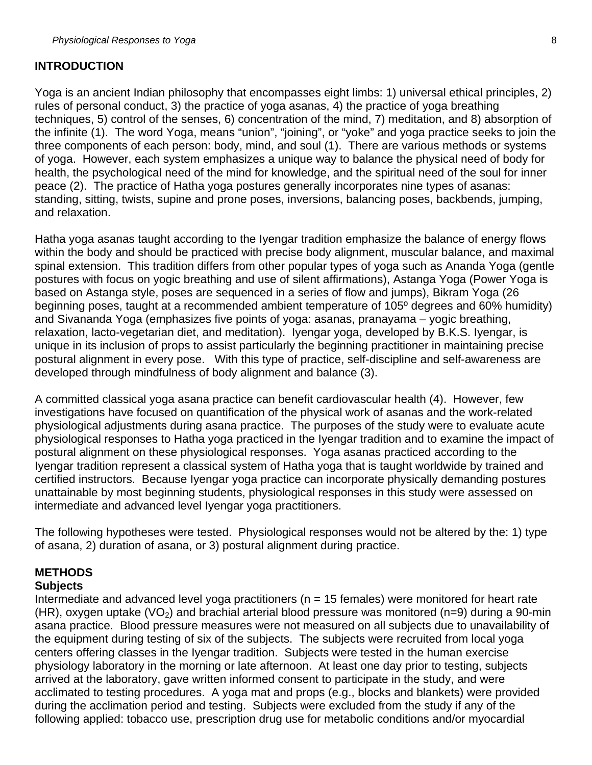## **INTRODUCTION**

Yoga is an ancient Indian philosophy that encompasses eight limbs: 1) universal ethical principles, 2) rules of personal conduct, 3) the practice of yoga asanas, 4) the practice of yoga breathing techniques, 5) control of the senses, 6) concentration of the mind, 7) meditation, and 8) absorption of the infinite (1). The word Yoga, means "union", "joining", or "yoke" and yoga practice seeks to join the three components of each person: body, mind, and soul (1). There are various methods or systems of yoga. However, each system emphasizes a unique way to balance the physical need of body for health, the psychological need of the mind for knowledge, and the spiritual need of the soul for inner peace (2). The practice of Hatha yoga postures generally incorporates nine types of asanas: standing, sitting, twists, supine and prone poses, inversions, balancing poses, backbends, jumping, and relaxation.

Hatha yoga asanas taught according to the Iyengar tradition emphasize the balance of energy flows within the body and should be practiced with precise body alignment, muscular balance, and maximal spinal extension. This tradition differs from other popular types of yoga such as Ananda Yoga (gentle postures with focus on yogic breathing and use of silent affirmations), Astanga Yoga (Power Yoga is based on Astanga style, poses are sequenced in a series of flow and jumps), Bikram Yoga (26 beginning poses, taught at a recommended ambient temperature of 105º degrees and 60% humidity) and Sivananda Yoga (emphasizes five points of yoga: asanas, pranayama – yogic breathing, relaxation, lacto-vegetarian diet, and meditation). Iyengar yoga, developed by B.K.S. Iyengar, is unique in its inclusion of props to assist particularly the beginning practitioner in maintaining precise postural alignment in every pose. With this type of practice, self-discipline and self-awareness are developed through mindfulness of body alignment and balance (3).

A committed classical yoga asana practice can benefit cardiovascular health (4). However, few investigations have focused on quantification of the physical work of asanas and the work-related physiological adjustments during asana practice. The purposes of the study were to evaluate acute physiological responses to Hatha yoga practiced in the Iyengar tradition and to examine the impact of postural alignment on these physiological responses. Yoga asanas practiced according to the Iyengar tradition represent a classical system of Hatha yoga that is taught worldwide by trained and certified instructors. Because Iyengar yoga practice can incorporate physically demanding postures unattainable by most beginning students, physiological responses in this study were assessed on intermediate and advanced level Iyengar yoga practitioners.

The following hypotheses were tested. Physiological responses would not be altered by the: 1) type of asana, 2) duration of asana, or 3) postural alignment during practice.

# **METHODS**

### **Subjects**

Intermediate and advanced level yoga practitioners ( $n = 15$  females) were monitored for heart rate (HR), oxygen uptake (VO<sub>2</sub>) and brachial arterial blood pressure was monitored (n=9) during a 90-min asana practice. Blood pressure measures were not measured on all subjects due to unavailability of the equipment during testing of six of the subjects. The subjects were recruited from local yoga centers offering classes in the Iyengar tradition. Subjects were tested in the human exercise physiology laboratory in the morning or late afternoon. At least one day prior to testing, subjects arrived at the laboratory, gave written informed consent to participate in the study, and were acclimated to testing procedures. A yoga mat and props (e.g., blocks and blankets) were provided during the acclimation period and testing. Subjects were excluded from the study if any of the following applied: tobacco use, prescription drug use for metabolic conditions and/or myocardial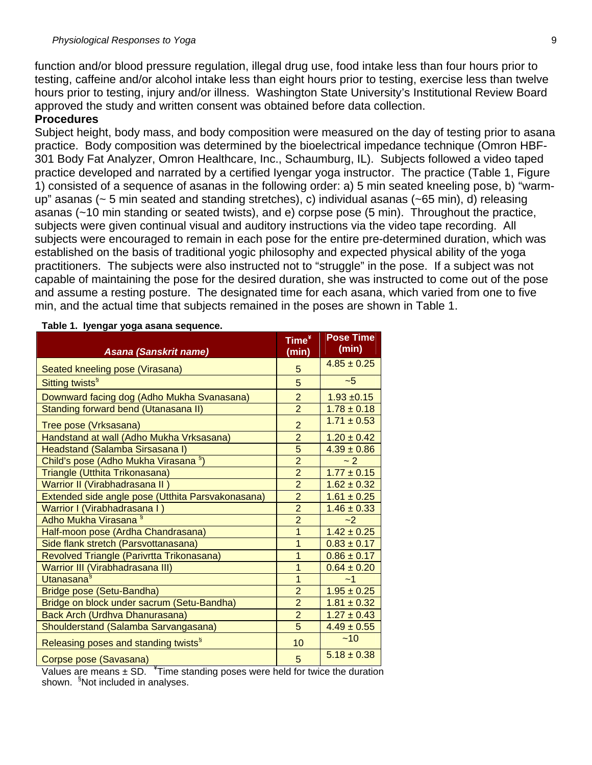function and/or blood pressure regulation, illegal drug use, food intake less than four hours prior to testing, caffeine and/or alcohol intake less than eight hours prior to testing, exercise less than twelve hours prior to testing, injury and/or illness. Washington State University's Institutional Review Board approved the study and written consent was obtained before data collection.

#### **Procedures**

Subject height, body mass, and body composition were measured on the day of testing prior to asana practice. Body composition was determined by the bioelectrical impedance technique (Omron HBF-301 Body Fat Analyzer, Omron Healthcare, Inc., Schaumburg, IL). Subjects followed a video taped practice developed and narrated by a certified Iyengar yoga instructor. The practice (Table 1, Figure 1) consisted of a sequence of asanas in the following order: a) 5 min seated kneeling pose, b) "warmup" asanas (~ 5 min seated and standing stretches), c) individual asanas (~65 min), d) releasing asanas (~10 min standing or seated twists), and e) corpse pose (5 min). Throughout the practice, subjects were given continual visual and auditory instructions via the video tape recording. All subjects were encouraged to remain in each pose for the entire pre-determined duration, which was established on the basis of traditional yogic philosophy and expected physical ability of the yoga practitioners. The subjects were also instructed not to "struggle" in the pose. If a subject was not capable of maintaining the pose for the desired duration, she was instructed to come out of the pose and assume a resting posture. The designated time for each asana, which varied from one to five min, and the actual time that subjects remained in the poses are shown in Table 1.

| Asana (Sanskrit name)                             | Time <sup>*</sup><br>(min) | <b>Pose Time</b><br>(min) |
|---------------------------------------------------|----------------------------|---------------------------|
| Seated kneeling pose (Virasana)                   | 5                          | $4.85 \pm 0.25$           |
| Sitting twists <sup>§</sup>                       | 5                          | $-5$                      |
| Downward facing dog (Adho Mukha Svanasana)        | $\overline{2}$             | $1.93 + 0.15$             |
| Standing forward bend (Utanasana II)              | $\overline{2}$             | $1.78 \pm 0.18$           |
| Tree pose (Vrksasana)                             | $\overline{2}$             | $1.71 \pm 0.53$           |
| Handstand at wall (Adho Mukha Vrksasana)          | $\overline{2}$             | $1.20 \pm 0.42$           |
| Headstand (Salamba Sirsasana I)                   | 5                          | $4.39 \pm 0.86$           |
| Child's pose (Adho Mukha Virasana §)              | $\overline{2}$             | ~2                        |
| Triangle (Utthita Trikonasana)                    | $\overline{2}$             | $1.77 \pm 0.15$           |
| Warrior II (Virabhadrasana II                     | $\overline{2}$             | $1.62 \pm 0.32$           |
| Extended side angle pose (Utthita Parsvakonasana) | $\overline{2}$             | $1.61 \pm 0.25$           |
| Warrior I (Virabhadrasana I)                      | $\overline{2}$             | $1.46 \pm 0.33$           |
| Adho Mukha Virasana <sup>§</sup>                  | $\overline{2}$             | $-2$                      |
| Half-moon pose (Ardha Chandrasana)                | 1                          | $1.42 \pm 0.25$           |
| Side flank stretch (Parsvottanasana)              | 1                          | $0.83 \pm 0.17$           |
| Revolved Triangle (Parivrtta Trikonasana)         | 1                          | $0.86 \pm 0.17$           |
| Warrior III (Virabhadrasana III)                  | 1                          | $0.64 \pm 0.20$           |
| Utanasana <sup>§</sup>                            | 1                          | $-1$                      |
| Bridge pose (Setu-Bandha)                         | $\overline{2}$             | $1.95 \pm 0.25$           |
| Bridge on block under sacrum (Setu-Bandha)        | $\overline{2}$             | $1.81 \pm 0.32$           |
| Back Arch (Urdhva Dhanurasana)                    | $\overline{2}$             | $1.27 \pm 0.43$           |
| Shoulderstand (Salamba Sarvangasana)              | 5                          | $4.49 \pm 0.55$           |
| Releasing poses and standing twists <sup>§</sup>  | 10                         | ~10                       |
| Corpse pose (Savasana)                            | 5                          | $5.18 \pm 0.38$           |

#### **Table 1. Iyengar yoga asana sequence.**

Values are means  $\pm$  SD.  $\overline{m}$  Time standing poses were held for twice the duration shown. <sup>§</sup>Not included in analyses.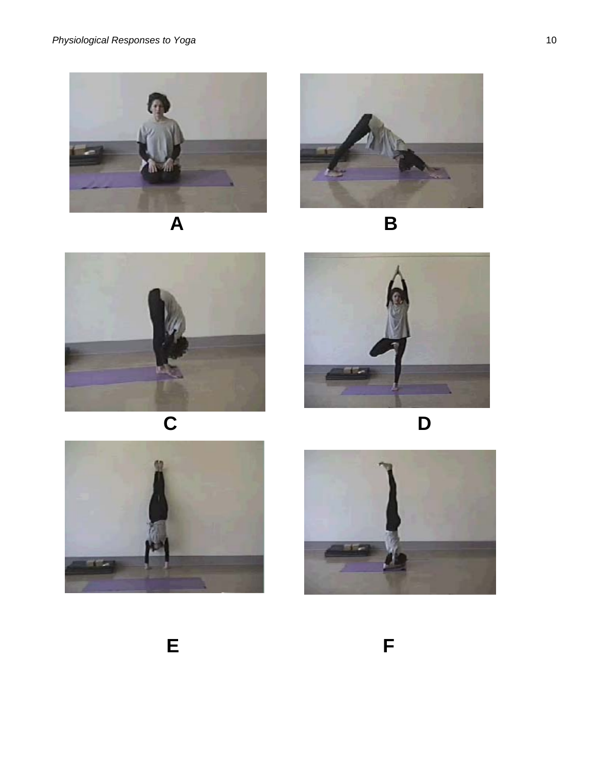



$$
\mathsf B
$$













**E E E F**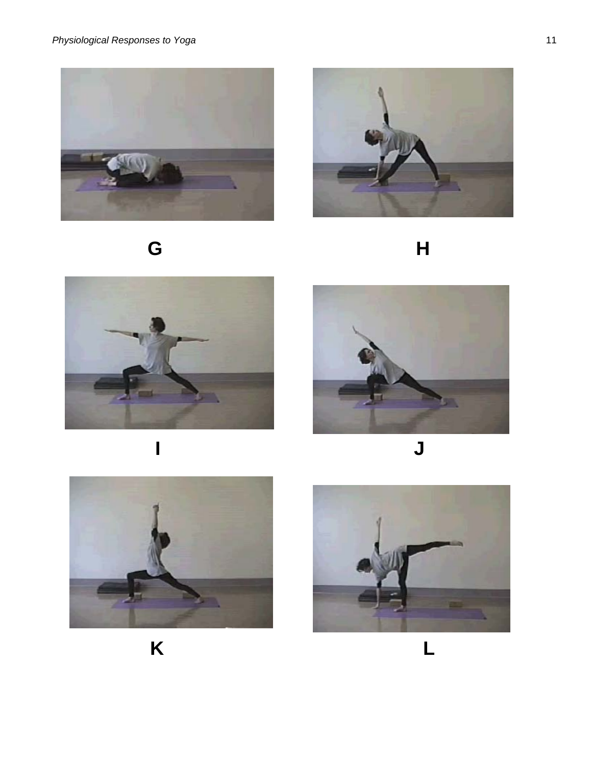













**K** L

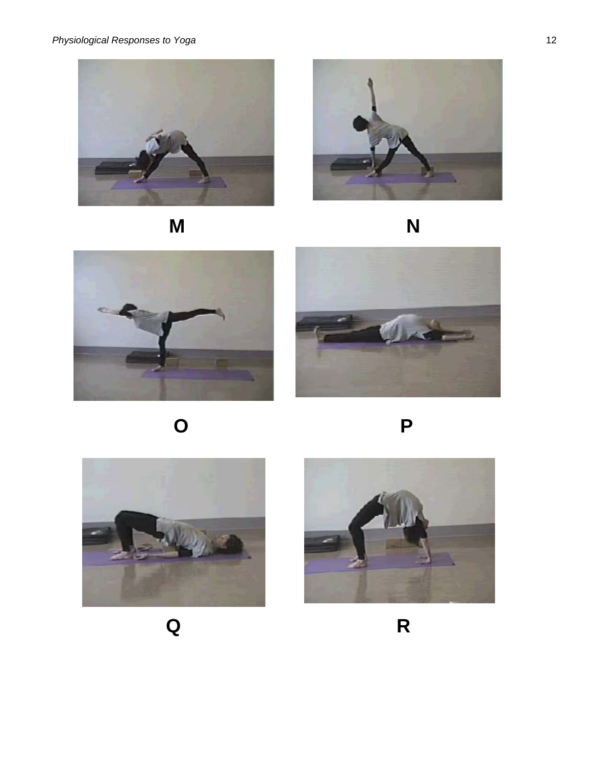



















 **Q R**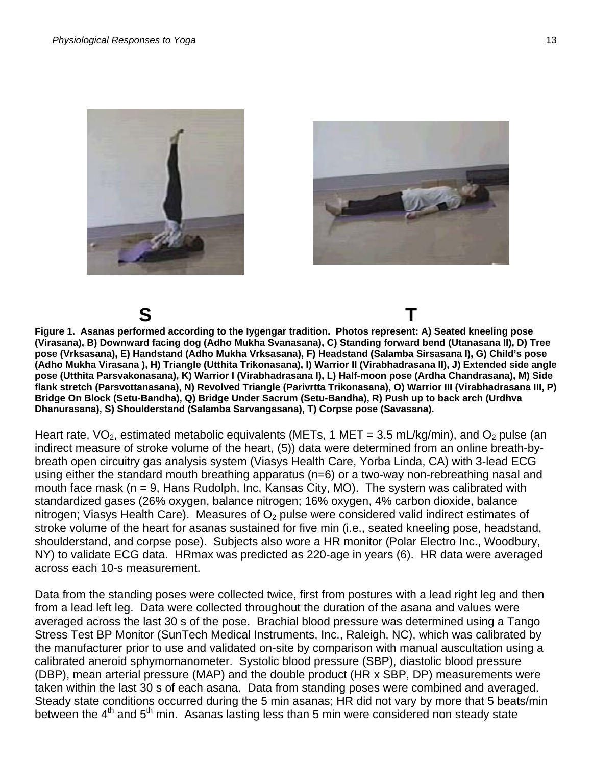



**S T Figure 1. Asanas performed according to the Iygengar tradition. Photos represent: A) Seated kneeling pose (Virasana), B) Downward facing dog (Adho Mukha Svanasana), C) Standing forward bend (Utanasana II), D) Tree pose (Vrksasana), E) Handstand (Adho Mukha Vrksasana), F) Headstand (Salamba Sirsasana I), G) Child's pose (Adho Mukha Virasana ), H) Triangle (Utthita Trikonasana), I) Warrior II (Virabhadrasana II), J) Extended side angle pose (Utthita Parsvakonasana), K) Warrior I (Virabhadrasana I), L) Half-moon pose (Ardha Chandrasana), M) Side flank stretch (Parsvottanasana), N) Revolved Triangle (Parivrtta Trikonasana), O) Warrior III (Virabhadrasana III, P) Bridge On Block (Setu-Bandha), Q) Bridge Under Sacrum (Setu-Bandha), R) Push up to back arch (Urdhva Dhanurasana), S) Shoulderstand (Salamba Sarvangasana), T) Corpse pose (Savasana).** 

Heart rate,  $VO_2$ , estimated metabolic equivalents (METs, 1 MET = 3.5 mL/kg/min), and  $O_2$  pulse (an indirect measure of stroke volume of the heart, (5)) data were determined from an online breath-bybreath open circuitry gas analysis system (Viasys Health Care, Yorba Linda, CA) with 3-lead ECG using either the standard mouth breathing apparatus (n=6) or a two-way non-rebreathing nasal and mouth face mask (n = 9, Hans Rudolph, Inc, Kansas City, MO). The system was calibrated with standardized gases (26% oxygen, balance nitrogen; 16% oxygen, 4% carbon dioxide, balance nitrogen; Viasys Health Care). Measures of  $O<sub>2</sub>$  pulse were considered valid indirect estimates of stroke volume of the heart for asanas sustained for five min (i.e., seated kneeling pose, headstand, shoulderstand, and corpse pose). Subjects also wore a HR monitor (Polar Electro Inc., Woodbury, NY) to validate ECG data. HRmax was predicted as 220-age in years (6). HR data were averaged across each 10-s measurement.

Data from the standing poses were collected twice, first from postures with a lead right leg and then from a lead left leg. Data were collected throughout the duration of the asana and values were averaged across the last 30 s of the pose. Brachial blood pressure was determined using a Tango Stress Test BP Monitor (SunTech Medical Instruments, Inc., Raleigh, NC), which was calibrated by the manufacturer prior to use and validated on-site by comparison with manual auscultation using a calibrated aneroid sphymomanometer. Systolic blood pressure (SBP), diastolic blood pressure (DBP), mean arterial pressure (MAP) and the double product (HR x SBP, DP) measurements were taken within the last 30 s of each asana. Data from standing poses were combined and averaged. Steady state conditions occurred during the 5 min asanas; HR did not vary by more that 5 beats/min between the 4<sup>th</sup> and 5<sup>th</sup> min. Asanas lasting less than 5 min were considered non steady state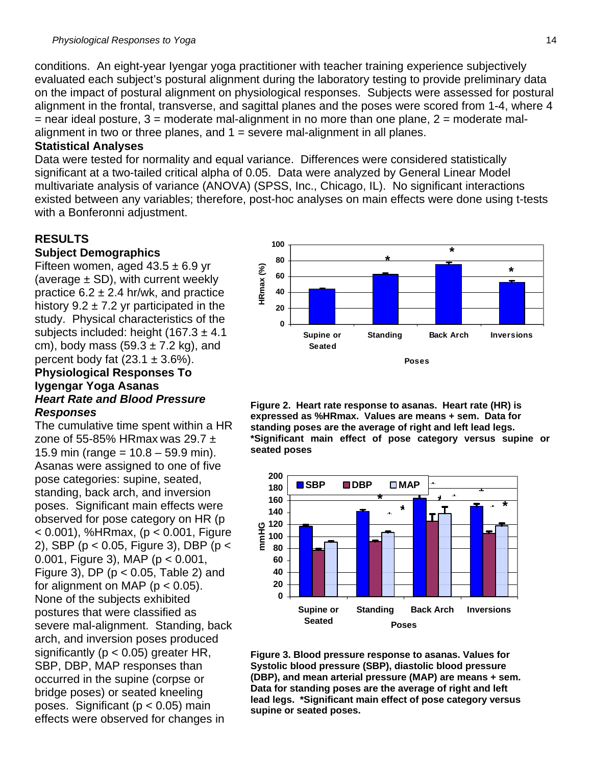conditions. An eight-year Iyengar yoga practitioner with teacher training experience subjectively evaluated each subject's postural alignment during the laboratory testing to provide preliminary data on the impact of postural alignment on physiological responses. Subjects were assessed for postural alignment in the frontal, transverse, and sagittal planes and the poses were scored from 1-4, where 4  $=$  near ideal posture, 3  $=$  moderate mal-alignment in no more than one plane, 2  $=$  moderate malalignment in two or three planes, and  $1 =$  severe mal-alignment in all planes.

#### **Statistical Analyses**

Data were tested for normality and equal variance. Differences were considered statistically significant at a two-tailed critical alpha of 0.05. Data were analyzed by General Linear Model multivariate analysis of variance (ANOVA) (SPSS, Inc., Chicago, IL). No significant interactions existed between any variables; therefore, post-hoc analyses on main effects were done using t-tests with a Bonferonni adjustment.

### **RESULTS**

#### **Subject Demographics**

Fifteen women, aged  $43.5 \pm 6.9$  yr (average  $\pm$  SD), with current weekly practice  $6.2 \pm 2.4$  hr/wk, and practice history  $9.2 \pm 7.2$  yr participated in the study. Physical characteristics of the subjects included: height  $(167.3 \pm 4.1)$ cm), body mass  $(59.3 \pm 7.2 \text{ kg})$ , and percent body fat  $(23.1 \pm 3.6\%)$ .

#### **Physiological Responses To Iygengar Yoga Asanas**  *Heart Rate and Blood Pressure Responses*

The cumulative time spent within a HR zone of 55-85% HRmax was 29.7  $\pm$ 15.9 min (range =  $10.8 - 59.9$  min). Asanas were assigned to one of five pose categories: supine, seated, standing, back arch, and inversion poses. Significant main effects were observed for pose category on HR (p < 0.001), %HRmax, (p < 0.001, Figure 2), SBP (p < 0.05, Figure 3), DBP (p < 0.001, Figure 3), MAP (p < 0.001, Figure 3), DP ( $p < 0.05$ , Table 2) and for alignment on MAP ( $p < 0.05$ ). None of the subjects exhibited postures that were classified as severe mal-alignment. Standing, back arch, and inversion poses produced significantly ( $p < 0.05$ ) greater HR, SBP, DBP, MAP responses than occurred in the supine (corpse or bridge poses) or seated kneeling poses. Significant ( $p < 0.05$ ) main effects were observed for changes in



**Figure 2. Heart rate response to asanas. Heart rate (HR) is expressed as %HRmax. Values are means + sem. Data for standing poses are the average of right and left lead legs. \*Significant main effect of pose category versus supine or seated poses** 



**Figure 3. Blood pressure response to asanas. Values for Systolic blood pressure (SBP), diastolic blood pressure (DBP), and mean arterial pressure (MAP) are means + sem. Data for standing poses are the average of right and left lead legs. \*Significant main effect of pose category versus supine or seated poses.**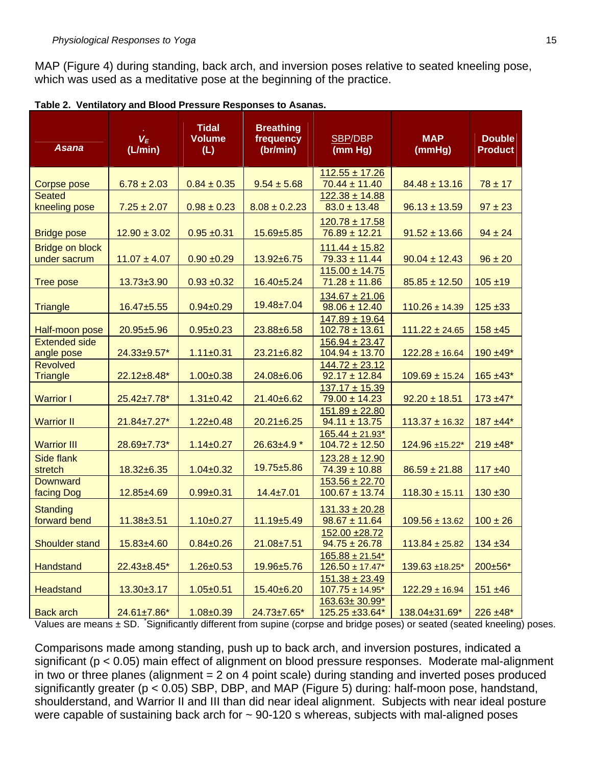MAP (Figure 4) during standing, back arch, and inversion poses relative to seated kneeling pose, which was used as a meditative pose at the beginning of the practice.

| Asana                                  | $V_E$<br>(L/min)   | <b>Tidal</b><br><b>Volume</b><br>(L) | <b>Breathing</b><br>frequency<br>(br/min) | SBP/DBP<br>(mm Hg)                                    | <b>MAP</b><br>(mmHg) | <b>Double</b><br><b>Product</b> |
|----------------------------------------|--------------------|--------------------------------------|-------------------------------------------|-------------------------------------------------------|----------------------|---------------------------------|
|                                        |                    |                                      |                                           | $112.55 \pm 17.26$                                    |                      |                                 |
| Corpse pose<br><b>Seated</b>           | $6.78 \pm 2.03$    | $0.84 \pm 0.35$                      | $9.54 \pm 5.68$                           | $70.44 \pm 11.40$                                     | $84.48 \pm 13.16$    | $78 \pm 17$                     |
| kneeling pose                          | $7.25 \pm 2.07$    | $0.98 \pm 0.23$                      | $8.08 \pm 0.2.23$                         | $122.38 \pm 14.88$<br>$83.0 \pm 13.48$                | $96.13 \pm 13.59$    | $97 \pm 23$                     |
| <b>Bridge pose</b>                     | $12.90 \pm 3.02$   | $0.95 + 0.31$                        | 15.69±5.85                                | $120.78 \pm 17.58$<br>$76.89 \pm 12.21$               | $91.52 \pm 13.66$    | $94 \pm 24$                     |
| <b>Bridge on block</b><br>under sacrum | $11.07 \pm 4.07$   | $0.90 + 0.29$                        | $13.92 \pm 6.75$                          | $111.44 \pm 15.82$<br>$79.33 \pm 11.44$               | $90.04 \pm 12.43$    | $96 \pm 20$                     |
| <b>Tree pose</b>                       | $13.73 + 3.90$     | $0.93 + 0.32$                        | 16.40±5.24                                | $115.00 \pm 14.75$<br>$71.28 \pm 11.86$               | $85.85 \pm 12.50$    | $105 + 19$                      |
| <b>Triangle</b>                        | 16.47±5.55         | $0.94 \pm 0.29$                      | 19.48±7.04                                | $134.67 \pm 21.06$<br>$98.06 \pm 12.40$               | $110.26 \pm 14.39$   | $125 + 33$                      |
| Half-moon pose                         | 20.95±5.96         | $0.95 \pm 0.23$                      | 23.88±6.58                                | $147.89 \pm 19.64$<br>$102.78 \pm 13.61$              | $111.22 \pm 24.65$   | $158 + 45$                      |
| <b>Extended side</b><br>angle pose     | 24.33±9.57*        | $1.11 \pm 0.31$                      | $23.21 \pm 6.82$                          | $156.94 \pm 23.47$<br>$104.94 \pm 13.70$              | $122.28 \pm 16.64$   | 190 ±49*                        |
| <b>Revolved</b><br><b>Triangle</b>     | $22.12 \pm 8.48^*$ | $1.00 + 0.38$                        | 24.08±6.06                                | $144.72 \pm 23.12$<br>$92.17 \pm 12.84$               | $109.69 \pm 15.24$   | $165 + 43*$                     |
| <b>Warrior I</b>                       | 25.42±7.78*        | $1.31 \pm 0.42$                      | 21.40±6.62                                | $137.17 \pm 15.39$<br>$79.00 \pm 14.23$               | $92.20 \pm 18.51$    | $173 + 47*$                     |
| <b>Warrior II</b>                      | 21.84±7.27*        | $1.22 \pm 0.48$                      | $20.21 \pm 6.25$                          | $151.89 \pm 22.80$<br>$94.11 \pm 13.75$               | $113.37 \pm 16.32$   | $187 + 44*$                     |
| <b>Warrior III</b>                     | 28.69±7.73*        | $1.14 \pm 0.27$                      | 26.63±4.9 *                               | $165.44 \pm 21.93$ <sup>*</sup><br>$104.72 \pm 12.50$ | 124.96 ±15.22*       | $219 + 48$ *                    |
| <b>Side flank</b><br>stretch           | 18.32±6.35         | $1.04 \pm 0.32$                      | 19.75±5.86                                | $123.28 \pm 12.90$<br>$74.39 \pm 10.88$               | $86.59 \pm 21.88$    | $117 + 40$                      |
| <b>Downward</b><br>facing Dog          | 12.85±4.69         | $0.99 + 0.31$                        | $14.4 \pm 7.01$                           | $153.56 \pm 22.70$<br>$100.67 \pm 13.74$              | $118.30 \pm 15.11$   | $130 + 30$                      |
| <b>Standing</b><br>forward bend        | $11.38 + 3.51$     | $1.10 \pm 0.27$                      | 11.19±5.49                                | $131.33 \pm 20.28$<br>$98.67 \pm 11.64$               | $109.56 \pm 13.62$   | $100 \pm 26$                    |
| Shoulder stand                         | 15.83±4.60         | $0.84 \pm 0.26$                      | $21.08 \pm 7.51$                          | 152.00 ±28.72<br>$94.75 \pm 26.78$                    | $113.84 \pm 25.82$   | $134 + 34$                      |
| <b>Handstand</b>                       | 22.43±8.45*        | $1.26 \pm 0.53$                      | 19.96±5.76                                | $165.88 \pm 21.54*$<br>$126.50 \pm 17.47$ *           | 139.63 ±18.25*       | 200±56*                         |
| <b>Headstand</b>                       | $13.30 + 3.17$     | $1.05 \pm 0.51$                      | 15.40±6.20                                | $151.38 \pm 23.49$<br>$107.75 \pm 14.95^*$            | $122.29 \pm 16.94$   | $151 + 46$                      |
| <b>Back arch</b>                       | 24.61±7.86*        | $1.08 + 0.39$                        | 24.73±7.65*                               | 163.63±30.99*<br>125.25 ±33.64*                       | 138.04±31.69*        | $226 \pm 48^*$                  |

| Table 2. Ventilatory and Blood Pressure Responses to Asanas. |  |  |  |  |  |  |
|--------------------------------------------------------------|--|--|--|--|--|--|
|--------------------------------------------------------------|--|--|--|--|--|--|

Values are means ± SD. Significantly different from supine (corpse and bridge poses) or seated (seated kneeling) poses.

Comparisons made among standing, push up to back arch, and inversion postures, indicated a significant (p < 0.05) main effect of alignment on blood pressure responses. Moderate mal-alignment in two or three planes (alignment = 2 on 4 point scale) during standing and inverted poses produced significantly greater (p < 0.05) SBP, DBP, and MAP (Figure 5) during: half-moon pose, handstand, shoulderstand, and Warrior II and III than did near ideal alignment. Subjects with near ideal posture were capable of sustaining back arch for  $\sim$  90-120 s whereas, subjects with mal-aligned poses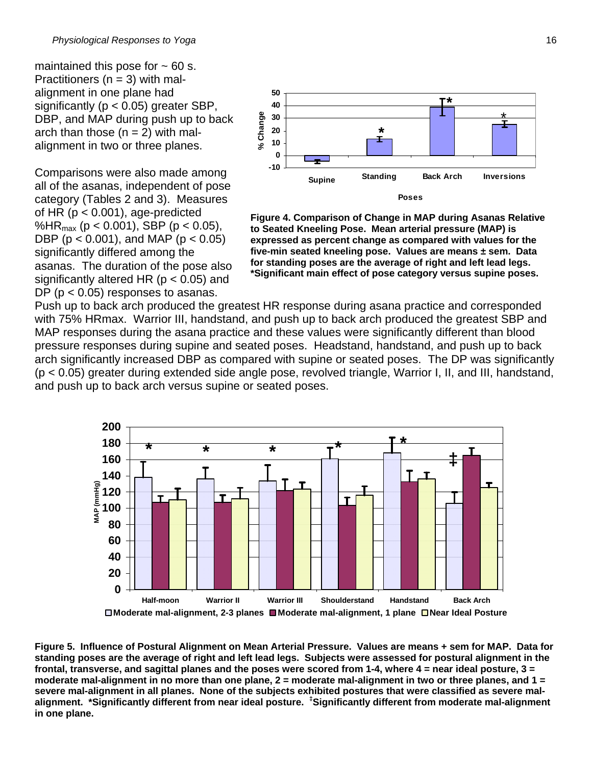maintained this pose for  $\sim$  60 s. Practitioners ( $n = 3$ ) with malalignment in one plane had significantly ( $p < 0.05$ ) greater SBP, DBP, and MAP during push up to back arch than those  $(n = 2)$  with malalignment in two or three planes.

Comparisons were also made among all of the asanas, independent of pose category (Tables 2 and 3). Measures of HR  $(p < 0.001)$ , age-predicted %HR<sub>max</sub> (p < 0.001), SBP (p < 0.05), DBP ( $p < 0.001$ ), and MAP ( $p < 0.05$ ) significantly differed among the asanas. The duration of the pose also significantly altered HR ( $p < 0.05$ ) and DP ( $p < 0.05$ ) responses to asanas.



**Figure 4. Comparison of Change in MAP during Asanas Relative to Seated Kneeling Pose. Mean arterial pressure (MAP) is expressed as percent change as compared with values for the five-min seated kneeling pose. Values are means ± sem. Data for standing poses are the average of right and left lead legs. \*Significant main effect of pose category versus supine poses.** 

Push up to back arch produced the greatest HR response during asana practice and corresponded with 75% HRmax. Warrior III, handstand, and push up to back arch produced the greatest SBP and MAP responses during the asana practice and these values were significantly different than blood pressure responses during supine and seated poses. Headstand, handstand, and push up to back arch significantly increased DBP as compared with supine or seated poses. The DP was significantly (p < 0.05) greater during extended side angle pose, revolved triangle, Warrior I, II, and III, handstand, and push up to back arch versus supine or seated poses.



**Figure 5. Influence of Postural Alignment on Mean Arterial Pressure. Values are means + sem for MAP. Data for standing poses are the average of right and left lead legs. Subjects were assessed for postural alignment in the frontal, transverse, and sagittal planes and the poses were scored from 1-4, where 4 = near ideal posture, 3 = moderate mal-alignment in no more than one plane, 2 = moderate mal-alignment in two or three planes, and 1 = severe mal-alignment in all planes. None of the subjects exhibited postures that were classified as severe malalignment. \*Significantly different from near ideal posture. ‡ Significantly different from moderate mal-alignment in one plane.**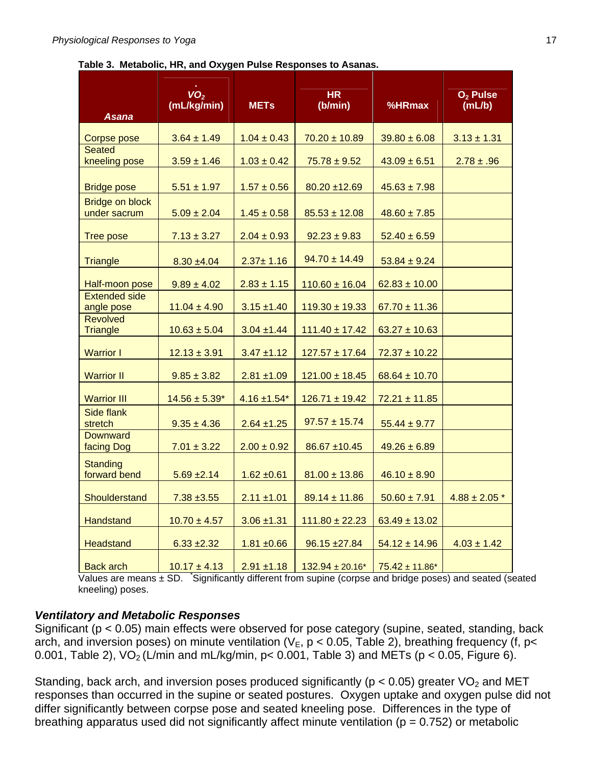#### **Table 3. Metabolic, HR, and Oxygen Pulse Responses to Asanas.**

| Asana                                  | VO <sub>2</sub><br>(mL/kg/min) | <b>METs</b>       | <b>HR</b><br>(b/min) | %HRmax              | O <sub>2</sub> Pulse<br>(mL/b) |
|----------------------------------------|--------------------------------|-------------------|----------------------|---------------------|--------------------------------|
|                                        |                                |                   |                      |                     |                                |
| Corpse pose<br><b>Seated</b>           | $3.64 \pm 1.49$                | $1.04 \pm 0.43$   | $70.20 \pm 10.89$    | $39.80 \pm 6.08$    | $3.13 \pm 1.31$                |
| kneeling pose                          | $3.59 \pm 1.46$                | $1.03 \pm 0.42$   | $75.78 \pm 9.52$     | $43.09 \pm 6.51$    | $2.78 \pm .96$                 |
| <b>Bridge pose</b>                     | $5.51 \pm 1.97$                | $1.57 \pm 0.56$   | $80.20 + 12.69$      | $45.63 \pm 7.98$    |                                |
| <b>Bridge on block</b><br>under sacrum | $5.09 \pm 2.04$                | $1.45 \pm 0.58$   | $85.53 \pm 12.08$    | $48.60 \pm 7.85$    |                                |
| <b>Tree pose</b>                       | $7.13 \pm 3.27$                | $2.04 \pm 0.93$   | $92.23 \pm 9.83$     | $52.40 \pm 6.59$    |                                |
| <b>Triangle</b>                        | $8.30 + 4.04$                  | $2.37 \pm 1.16$   | $94.70 \pm 14.49$    | $53.84 \pm 9.24$    |                                |
| Half-moon pose                         | $9.89 \pm 4.02$                | $2.83 \pm 1.15$   | $110.60 \pm 16.04$   | $62.83 \pm 10.00$   |                                |
| <b>Extended side</b><br>angle pose     | $11.04 \pm 4.90$               | $3.15 \pm 1.40$   | $119.30 \pm 19.33$   | $67.70 \pm 11.36$   |                                |
| <b>Revolved</b><br><b>Triangle</b>     | $10.63 \pm 5.04$               | $3.04 + 1.44$     | $111.40 \pm 17.42$   | $63.27 \pm 10.63$   |                                |
| <b>Warrior I</b>                       | $12.13 \pm 3.91$               | $3.47 \pm 1.12$   | $127.57 \pm 17.64$   | $72.37 \pm 10.22$   |                                |
| <b>Warrior II</b>                      | $9.85 \pm 3.82$                | $2.81 \pm 1.09$   | $121.00 \pm 18.45$   | $68.64 \pm 10.70$   |                                |
| <b>Warrior III</b>                     | $14.56 \pm 5.39*$              | $4.16 \pm 1.54$ * | $126.71 \pm 19.42$   | $72.21 \pm 11.85$   |                                |
| Side flank<br>stretch                  | $9.35 \pm 4.36$                | $2.64 \pm 1.25$   | $97.57 \pm 15.74$    | $55.44 \pm 9.77$    |                                |
| <b>Downward</b><br>facing Dog          | $7.01 \pm 3.22$                | $2.00 \pm 0.92$   | $86.67 + 10.45$      | $49.26 \pm 6.89$    |                                |
| <b>Standing</b><br>forward bend        | $5.69 \pm 2.14$                | $1.62 \pm 0.61$   | $81.00 \pm 13.86$    | $46.10 \pm 8.90$    |                                |
| Shoulderstand                          | $7.38 + 3.55$                  | $2.11 \pm 1.01$   | $89.14 \pm 11.86$    | $50.60 \pm 7.91$    | $4.88 \pm 2.05$ *              |
| <b>Handstand</b>                       | $10.70 \pm 4.57$               | $3.06 \pm 1.31$   | $111.80 \pm 22.23$   | $63.49 \pm 13.02$   |                                |
| <b>Headstand</b>                       | $6.33 + 2.32$                  | $1.81 + 0.66$     | $96.15 + 27.84$      | $54.12 \pm 14.96$   | $4.03 \pm 1.42$                |
| <b>Back arch</b>                       | $10.17 \pm 4.13$               | $2.91 + 1.18$     | $132.94 \pm 20.16^*$ | $75.42 \pm 11.86^*$ |                                |

Values are means  $\pm$  SD. Significantly different from supine (corpse and bridge poses) and seated (seated kneeling) poses.

## *Ventilatory and Metabolic Responses*

Significant (p < 0.05) main effects were observed for pose category (supine, seated, standing, back arch, and inversion poses) on minute ventilation ( $V_E$ ,  $p < 0.05$ , Table 2), breathing frequency (f, p< 0.001, Table 2),  $VO<sub>2</sub> (L/min and mL/kg/min, p < 0.001$ , Table 3) and METs (p < 0.05, Figure 6).

Standing, back arch, and inversion poses produced significantly ( $p < 0.05$ ) greater VO<sub>2</sub> and MET responses than occurred in the supine or seated postures. Oxygen uptake and oxygen pulse did not differ significantly between corpse pose and seated kneeling pose. Differences in the type of breathing apparatus used did not significantly affect minute ventilation ( $p = 0.752$ ) or metabolic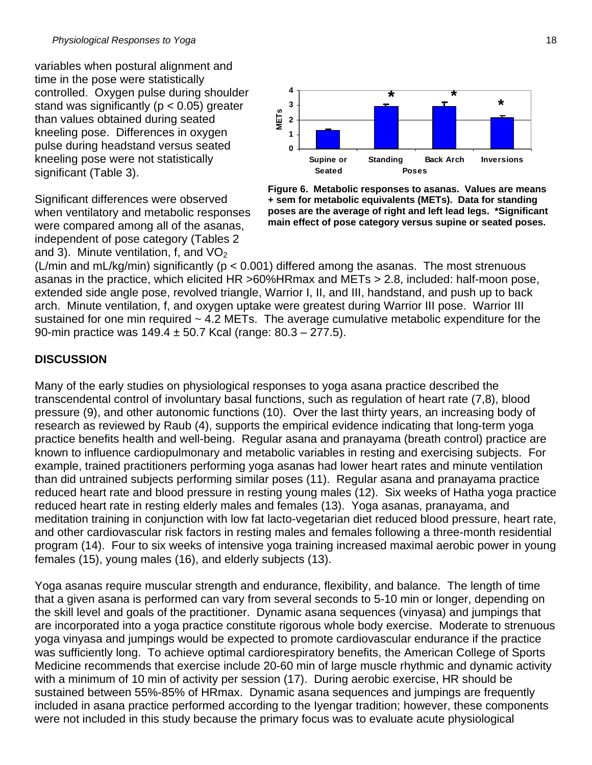variables when postural alignment and time in the pose were statistically controlled. Oxygen pulse during shoulder stand was significantly ( $p < 0.05$ ) greater than values obtained during seated kneeling pose. Differences in oxygen pulse during headstand versus seated kneeling pose were not statistically significant (Table 3).

Significant differences were observed when ventilatory and metabolic responses were compared among all of the asanas, independent of pose category (Tables 2 and 3). Minute ventilation, f, and  $VO<sub>2</sub>$ 



**Figure 6. Metabolic responses to asanas. Values are means + sem for metabolic equivalents (METs). Data for standing poses are the average of right and left lead legs. \*Significant main effect of pose category versus supine or seated poses.**

(L/min and mL/kg/min) significantly ( $p < 0.001$ ) differed among the asanas. The most strenuous asanas in the practice, which elicited HR >60%HRmax and METs > 2.8, included: half-moon pose, extended side angle pose, revolved triangle, Warrior I, II, and III, handstand, and push up to back arch. Minute ventilation, f, and oxygen uptake were greatest during Warrior III pose. Warrior III sustained for one min required  $\sim 4.2$  METs. The average cumulative metabolic expenditure for the 90-min practice was 149.4 ± 50.7 Kcal (range: 80.3 – 277.5).

## **DISCUSSION**

Many of the early studies on physiological responses to yoga asana practice described the transcendental control of involuntary basal functions, such as regulation of heart rate (7,8), blood pressure (9), and other autonomic functions (10). Over the last thirty years, an increasing body of research as reviewed by Raub (4), supports the empirical evidence indicating that long-term yoga practice benefits health and well-being. Regular asana and pranayama (breath control) practice are known to influence cardiopulmonary and metabolic variables in resting and exercising subjects. For example, trained practitioners performing yoga asanas had lower heart rates and minute ventilation than did untrained subjects performing similar poses (11). Regular asana and pranayama practice reduced heart rate and blood pressure in resting young males (12). Six weeks of Hatha yoga practice reduced heart rate in resting elderly males and females (13). Yoga asanas, pranayama, and meditation training in conjunction with low fat lacto-vegetarian diet reduced blood pressure, heart rate, and other cardiovascular risk factors in resting males and females following a three-month residential program (14). Four to six weeks of intensive yoga training increased maximal aerobic power in young females (15), young males (16), and elderly subjects (13).

Yoga asanas require muscular strength and endurance, flexibility, and balance. The length of time that a given asana is performed can vary from several seconds to 5-10 min or longer, depending on the skill level and goals of the practitioner. Dynamic asana sequences (vinyasa) and jumpings that are incorporated into a yoga practice constitute rigorous whole body exercise. Moderate to strenuous yoga vinyasa and jumpings would be expected to promote cardiovascular endurance if the practice was sufficiently long. To achieve optimal cardiorespiratory benefits, the American College of Sports Medicine recommends that exercise include 20-60 min of large muscle rhythmic and dynamic activity with a minimum of 10 min of activity per session (17). During aerobic exercise, HR should be sustained between 55%-85% of HRmax. Dynamic asana sequences and jumpings are frequently included in asana practice performed according to the Iyengar tradition; however, these components were not included in this study because the primary focus was to evaluate acute physiological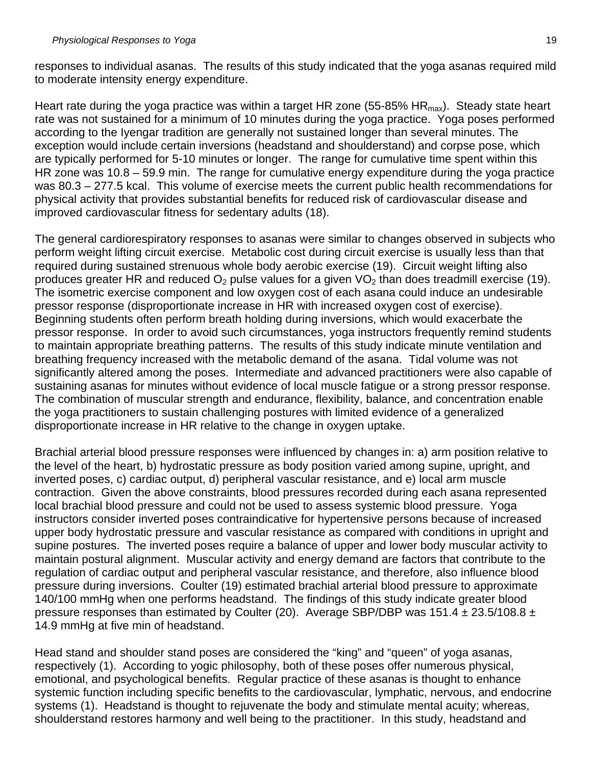responses to individual asanas. The results of this study indicated that the yoga asanas required mild to moderate intensity energy expenditure.

Heart rate during the yoga practice was within a target HR zone (55-85% HR $_{\text{max}}$ ). Steady state heart rate was not sustained for a minimum of 10 minutes during the yoga practice. Yoga poses performed according to the Iyengar tradition are generally not sustained longer than several minutes. The exception would include certain inversions (headstand and shoulderstand) and corpse pose, which are typically performed for 5-10 minutes or longer. The range for cumulative time spent within this HR zone was 10.8 – 59.9 min. The range for cumulative energy expenditure during the yoga practice was 80.3 – 277.5 kcal. This volume of exercise meets the current public health recommendations for physical activity that provides substantial benefits for reduced risk of cardiovascular disease and improved cardiovascular fitness for sedentary adults (18).

The general cardiorespiratory responses to asanas were similar to changes observed in subjects who perform weight lifting circuit exercise. Metabolic cost during circuit exercise is usually less than that required during sustained strenuous whole body aerobic exercise (19). Circuit weight lifting also produces greater HR and reduced  $O<sub>2</sub>$  pulse values for a given VO<sub>2</sub> than does treadmill exercise (19). The isometric exercise component and low oxygen cost of each asana could induce an undesirable pressor response (disproportionate increase in HR with increased oxygen cost of exercise). Beginning students often perform breath holding during inversions, which would exacerbate the pressor response. In order to avoid such circumstances, yoga instructors frequently remind students to maintain appropriate breathing patterns. The results of this study indicate minute ventilation and breathing frequency increased with the metabolic demand of the asana. Tidal volume was not significantly altered among the poses. Intermediate and advanced practitioners were also capable of sustaining asanas for minutes without evidence of local muscle fatigue or a strong pressor response. The combination of muscular strength and endurance, flexibility, balance, and concentration enable the yoga practitioners to sustain challenging postures with limited evidence of a generalized disproportionate increase in HR relative to the change in oxygen uptake.

Brachial arterial blood pressure responses were influenced by changes in: a) arm position relative to the level of the heart, b) hydrostatic pressure as body position varied among supine, upright, and inverted poses, c) cardiac output, d) peripheral vascular resistance, and e) local arm muscle contraction. Given the above constraints, blood pressures recorded during each asana represented local brachial blood pressure and could not be used to assess systemic blood pressure. Yoga instructors consider inverted poses contraindicative for hypertensive persons because of increased upper body hydrostatic pressure and vascular resistance as compared with conditions in upright and supine postures. The inverted poses require a balance of upper and lower body muscular activity to maintain postural alignment. Muscular activity and energy demand are factors that contribute to the regulation of cardiac output and peripheral vascular resistance, and therefore, also influence blood pressure during inversions. Coulter (19) estimated brachial arterial blood pressure to approximate 140/100 mmHg when one performs headstand. The findings of this study indicate greater blood pressure responses than estimated by Coulter (20). Average SBP/DBP was 151.4  $\pm$  23.5/108.8  $\pm$ 14.9 mmHg at five min of headstand.

Head stand and shoulder stand poses are considered the "king" and "queen" of yoga asanas, respectively (1). According to yogic philosophy, both of these poses offer numerous physical, emotional, and psychological benefits. Regular practice of these asanas is thought to enhance systemic function including specific benefits to the cardiovascular, lymphatic, nervous, and endocrine systems (1). Headstand is thought to rejuvenate the body and stimulate mental acuity; whereas, shoulderstand restores harmony and well being to the practitioner. In this study, headstand and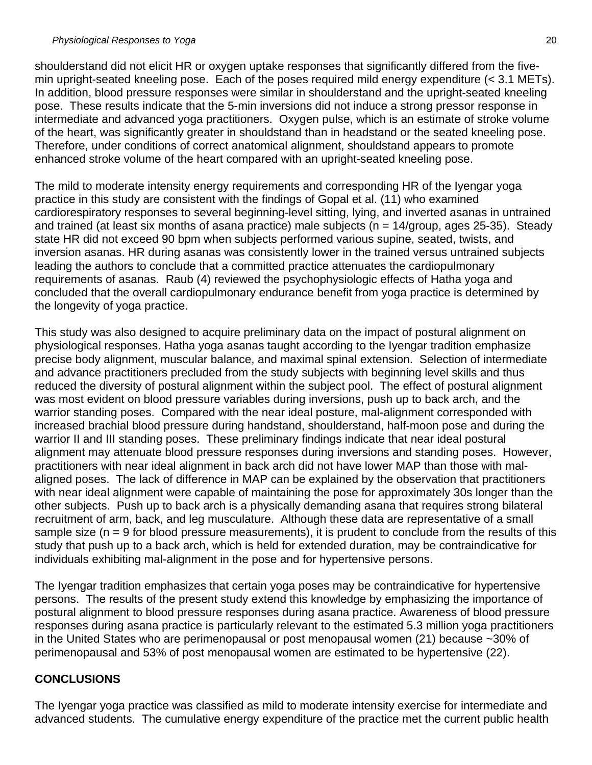shoulderstand did not elicit HR or oxygen uptake responses that significantly differed from the fivemin upright-seated kneeling pose. Each of the poses required mild energy expenditure (< 3.1 METs). In addition, blood pressure responses were similar in shoulderstand and the upright-seated kneeling pose. These results indicate that the 5-min inversions did not induce a strong pressor response in intermediate and advanced yoga practitioners. Oxygen pulse, which is an estimate of stroke volume of the heart, was significantly greater in shouldstand than in headstand or the seated kneeling pose. Therefore, under conditions of correct anatomical alignment, shouldstand appears to promote enhanced stroke volume of the heart compared with an upright-seated kneeling pose.

The mild to moderate intensity energy requirements and corresponding HR of the Iyengar yoga practice in this study are consistent with the findings of Gopal et al. (11) who examined cardiorespiratory responses to several beginning-level sitting, lying, and inverted asanas in untrained and trained (at least six months of asana practice) male subjects ( $n = 14$ /group, ages 25-35). Steady state HR did not exceed 90 bpm when subjects performed various supine, seated, twists, and inversion asanas. HR during asanas was consistently lower in the trained versus untrained subjects leading the authors to conclude that a committed practice attenuates the cardiopulmonary requirements of asanas. Raub (4) reviewed the psychophysiologic effects of Hatha yoga and concluded that the overall cardiopulmonary endurance benefit from yoga practice is determined by the longevity of yoga practice.

This study was also designed to acquire preliminary data on the impact of postural alignment on physiological responses. Hatha yoga asanas taught according to the Iyengar tradition emphasize precise body alignment, muscular balance, and maximal spinal extension. Selection of intermediate and advance practitioners precluded from the study subjects with beginning level skills and thus reduced the diversity of postural alignment within the subject pool. The effect of postural alignment was most evident on blood pressure variables during inversions, push up to back arch, and the warrior standing poses. Compared with the near ideal posture, mal-alignment corresponded with increased brachial blood pressure during handstand, shoulderstand, half-moon pose and during the warrior II and III standing poses. These preliminary findings indicate that near ideal postural alignment may attenuate blood pressure responses during inversions and standing poses. However, practitioners with near ideal alignment in back arch did not have lower MAP than those with malaligned poses. The lack of difference in MAP can be explained by the observation that practitioners with near ideal alignment were capable of maintaining the pose for approximately 30s longer than the other subjects. Push up to back arch is a physically demanding asana that requires strong bilateral recruitment of arm, back, and leg musculature. Although these data are representative of a small sample size (n = 9 for blood pressure measurements), it is prudent to conclude from the results of this study that push up to a back arch, which is held for extended duration, may be contraindicative for individuals exhibiting mal-alignment in the pose and for hypertensive persons.

The Iyengar tradition emphasizes that certain yoga poses may be contraindicative for hypertensive persons. The results of the present study extend this knowledge by emphasizing the importance of postural alignment to blood pressure responses during asana practice. Awareness of blood pressure responses during asana practice is particularly relevant to the estimated 5.3 million yoga practitioners in the United States who are perimenopausal or post menopausal women (21) because ~30% of perimenopausal and 53% of post menopausal women are estimated to be hypertensive (22).

## **CONCLUSIONS**

The Iyengar yoga practice was classified as mild to moderate intensity exercise for intermediate and advanced students. The cumulative energy expenditure of the practice met the current public health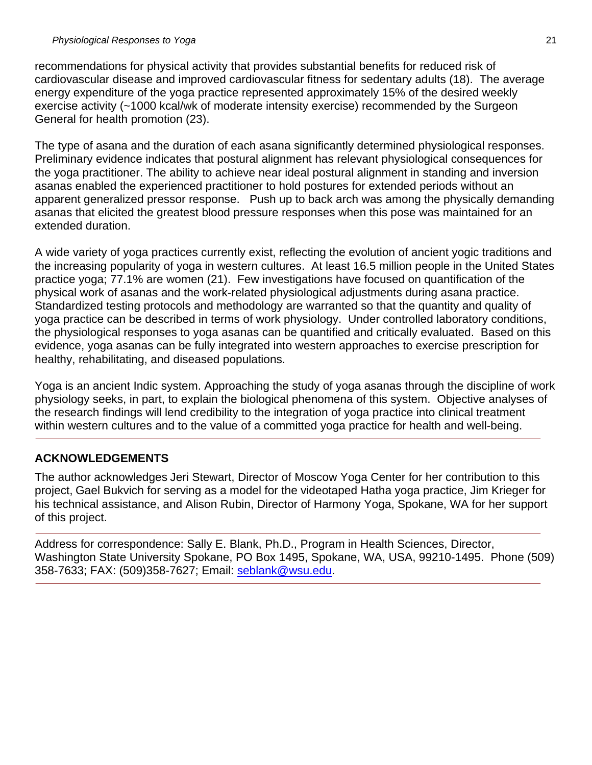recommendations for physical activity that provides substantial benefits for reduced risk of cardiovascular disease and improved cardiovascular fitness for sedentary adults (18). The average energy expenditure of the yoga practice represented approximately 15% of the desired weekly exercise activity (~1000 kcal/wk of moderate intensity exercise) recommended by the Surgeon General for health promotion (23).

The type of asana and the duration of each asana significantly determined physiological responses. Preliminary evidence indicates that postural alignment has relevant physiological consequences for the yoga practitioner. The ability to achieve near ideal postural alignment in standing and inversion asanas enabled the experienced practitioner to hold postures for extended periods without an apparent generalized pressor response. Push up to back arch was among the physically demanding asanas that elicited the greatest blood pressure responses when this pose was maintained for an extended duration.

A wide variety of yoga practices currently exist, reflecting the evolution of ancient yogic traditions and the increasing popularity of yoga in western cultures. At least 16.5 million people in the United States practice yoga; 77.1% are women (21). Few investigations have focused on quantification of the physical work of asanas and the work-related physiological adjustments during asana practice. Standardized testing protocols and methodology are warranted so that the quantity and quality of yoga practice can be described in terms of work physiology. Under controlled laboratory conditions, the physiological responses to yoga asanas can be quantified and critically evaluated. Based on this evidence, yoga asanas can be fully integrated into western approaches to exercise prescription for healthy, rehabilitating, and diseased populations.

Yoga is an ancient Indic system. Approaching the study of yoga asanas through the discipline of work physiology seeks, in part, to explain the biological phenomena of this system. Objective analyses of the research findings will lend credibility to the integration of yoga practice into clinical treatment within western cultures and to the value of a committed yoga practice for health and well-being.

# **ACKNOWLEDGEMENTS**

The author acknowledges Jeri Stewart, Director of Moscow Yoga Center for her contribution to this project, Gael Bukvich for serving as a model for the videotaped Hatha yoga practice, Jim Krieger for his technical assistance, and Alison Rubin, Director of Harmony Yoga, Spokane, WA for her support of this project.

Address for correspondence: Sally E. Blank, Ph.D., Program in Health Sciences, Director, Washington State University Spokane, PO Box 1495, Spokane, WA, USA, 99210-1495. Phone (509) 358-7633; FAX: (509)358-7627; Email: [seblank@wsu.edu](mailto:seblank@wsu.edu).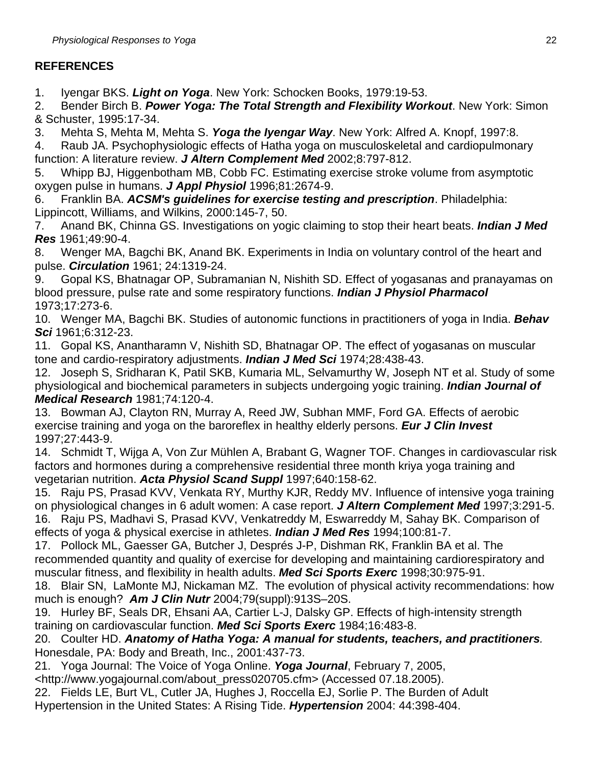# **REFERENCES**

1. Iyengar BKS. *Light on Yoga*. New York: Schocken Books, 1979:19-53.

2. Bender Birch B. *Power Yoga: The Total Strength and Flexibility Workout*. New York: Simon & Schuster, 1995:17-34.

3. Mehta S, Mehta M, Mehta S. *Yoga the Iyengar Way*. New York: Alfred A. Knopf, 1997:8.

4. Raub JA. Psychophysiologic effects of Hatha yoga on musculoskeletal and cardiopulmonary function: A literature review. *J Altern Complement Med* 2002;8:797-812.

5. Whipp BJ, Higgenbotham MB, Cobb FC. Estimating exercise stroke volume from asymptotic oxygen pulse in humans. *J Appl Physiol* 1996;81:2674-9.

6. Franklin BA. *ACSM's guidelines for exercise testing and prescription*. Philadelphia: Lippincott, Williams, and Wilkins, 2000:145-7, 50.

7. Anand BK, Chinna GS. Investigations on yogic claiming to stop their heart beats. *Indian J Med Res* 1961;49:90-4.

8. Wenger MA, Bagchi BK, Anand BK. Experiments in India on voluntary control of the heart and pulse. *Circulation* 1961; 24:1319-24.

9. Gopal KS, Bhatnagar OP, Subramanian N, Nishith SD. Effect of yogasanas and pranayamas on blood pressure, pulse rate and some respiratory functions. *Indian J Physiol Pharmacol* 1973;17:273-6.

10. Wenger MA, Bagchi BK. Studies of autonomic functions in practitioners of yoga in India. *Behav Sci* 1961;6:312-23.

11. Gopal KS, Anantharamn V, Nishith SD, Bhatnagar OP. The effect of yogasanas on muscular tone and cardio-respiratory adjustments. *Indian J Med Sci* 1974;28:438-43.

12. Joseph S, Sridharan K, Patil SKB, Kumaria ML, Selvamurthy W, Joseph NT et al. Study of some physiological and biochemical parameters in subjects undergoing yogic training. *Indian Journal of Medical Research* 1981;74:120-4.

13. Bowman AJ, Clayton RN, Murray A, Reed JW, Subhan MMF, Ford GA. Effects of aerobic exercise training and yoga on the baroreflex in healthy elderly persons. *Eur J Clin Invest* 1997;27:443-9.

14. Schmidt T, Wijga A, Von Zur Mühlen A, Brabant G, Wagner TOF. Changes in cardiovascular risk factors and hormones during a comprehensive residential three month kriya yoga training and vegetarian nutrition. *Acta Physiol Scand Suppl* 1997;640:158-62.

15. Raju PS, Prasad KVV, Venkata RY, Murthy KJR, Reddy MV. Influence of intensive yoga training on physiological changes in 6 adult women: A case report. *J Altern Complement Med* 1997;3:291-5. 16. Raju PS, Madhavi S, Prasad KVV, Venkatreddy M, Eswarreddy M, Sahay BK. Comparison of effects of yoga & physical exercise in athletes. *Indian J Med Res* 1994;100:81-7.

17. Pollock ML, Gaesser GA, Butcher J, Després J-P, Dishman RK, Franklin BA et al. The recommended quantity and quality of exercise for developing and maintaining cardiorespiratory and muscular fitness, and flexibility in health adults. *Med Sci Sports Exerc* 1998;30:975-91.

18. Blair SN, LaMonte MJ, Nickaman MZ. The evolution of physical activity recommendations: how much is enough? *Am J Clin Nutr* 2004;79(suppl):913S–20S.

19. Hurley BF, Seals DR, Ehsani AA, Cartier L-J, Dalsky GP. Effects of high-intensity strength training on cardiovascular function. *Med Sci Sports Exerc* 1984;16:483-8.

20. Coulter HD. *Anatomy of Hatha Yoga: A manual for students, teachers, and practitioners.* Honesdale, PA: Body and Breath, Inc., 2001:437-73.

21. Yoga Journal: The Voice of Yoga Online. *Yoga Journal*, February 7, 2005,

<http://www.yogajournal.com/about\_press020705.cfm> (Accessed 07.18.2005).

22. Fields LE, Burt VL, Cutler JA, Hughes J, Roccella EJ, Sorlie P. The Burden of Adult Hypertension in the United States: A Rising Tide. *Hypertension* 2004: 44:398-404.